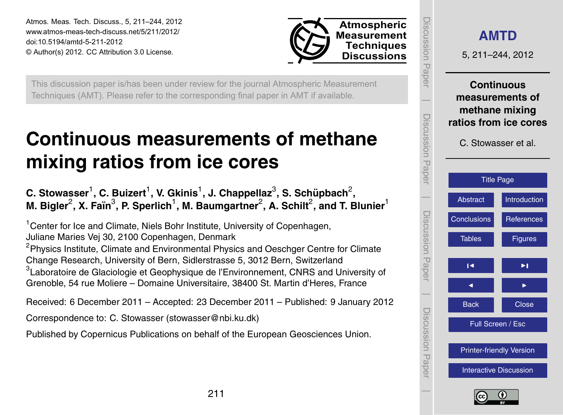<span id="page-0-0"></span>Atmos. Meas. Tech. Discuss., 5, 211–244, 2012 www.atmos-meas-tech-discuss.net/5/211/2012/ doi:10.5194/amtd-5-211-2012 © Author(s) 2012. CC Attribution 3.0 License.



This discussion paper is/has been under review for the journal Atmospheric Measurement Techniques (AMT). Please refer to the corresponding final paper in AMT if available.

# **Continuous measurements of methane mixing ratios from ice cores**

 ${\bf C}.$  Stowasser $^1$ ,  ${\bf C}.$  Buizert $^1$ , V. Gkinis $^1$ , J. Chappellaz $^3$ , S. Schüpbach $^2,$  ${\sf M.\; Bigler}^2,$   ${\sf X.\; Fain}^3,$   ${\sf P.\; Sperlich}^1,$   ${\sf M.\; Baumgartner}^2,$   ${\sf A.\; Schilt}^2,$  and  ${\sf T.\; Blunier}^1$ 

<sup>1</sup> Center for Ice and Climate, Niels Bohr Institute, University of Copenhagen, Juliane Maries Vej 30, 2100 Copenhagen, Denmark

<sup>2</sup>Physics Institute, Climate and Environmental Physics and Oeschger Centre for Climate Change Research, University of Bern, Sidlerstrasse 5, 3012 Bern, Switzerland  $^3$ Laboratoire de Glaciologie et Geophysique de l'Environnement, CNRS and University of Grenoble, 54 rue Moliere – Domaine Universitaire, 38400 St. Martin d'Heres, France

Received: 6 December 2011 – Accepted: 23 December 2011 – Published: 9 January 2012

Correspondence to: C. Stowasser (stowasser@nbi.ku.dk)

Published by Copernicus Publications on behalf of the European Geosciences Union.



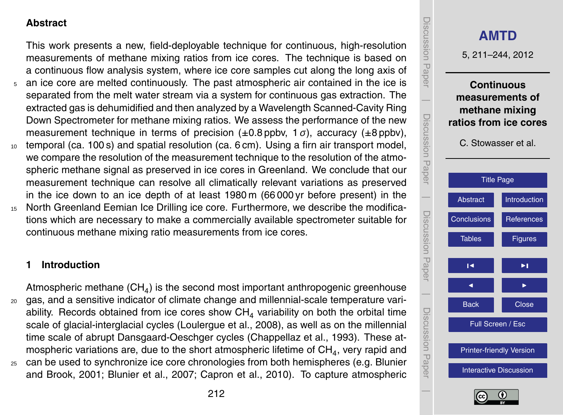# <span id="page-1-0"></span>**Abstract**

This work presents a new, field-deployable technique for continuous, high-resolution measurements of methane mixing ratios from ice cores. The technique is based on a continuous flow analysis system, where ice core samples cut along the long axis of

- <sup>5</sup> an ice core are melted continuously. The past atmospheric air contained in the ice is separated from the melt water stream via a system for continuous gas extraction. The extracted gas is dehumidified and then analyzed by a Wavelength Scanned-Cavity Ring Down Spectrometer for methane mixing ratios. We assess the performance of the new measurement technique in terms of precision (±0.8 ppbv, 1 *σ*), accuracy (±8 ppbv),
- <sup>10</sup> temporal (ca. 100 s) and spatial resolution (ca. 6 cm). Using a firn air transport model, we compare the resolution of the measurement technique to the resolution of the atmospheric methane signal as preserved in ice cores in Greenland. We conclude that our measurement technique can resolve all climatically relevant variations as preserved in the ice down to an ice depth of at least 1980 m (66 000 yr before present) in the
- <sup>15</sup> North Greenland Eemian Ice Drilling ice core. Furthermore, we describe the modifications which are necessary to make a commercially available spectrometer suitable for continuous methane mixing ratio measurements from ice cores.

# **1 Introduction**

Atmospheric methane (CH<sub>4</sub>) is the second most important anthropogenic greenhouse <sup>20</sup> gas, and a sensitive indicator of climate change and millennial-scale temperature variability. Records obtained from ice cores show  $CH<sub>4</sub>$  variability on both the orbital time scale of glacial-interglacial cycles [\(Loulergue et al.,](#page-25-0) [2008\)](#page-25-0), as well as on the millennial time scale of abrupt Dansgaard-Oeschger cycles [\(Chappellaz et al.,](#page-24-0) [1993\)](#page-24-0). These atmospheric variations are, due to the short atmospheric lifetime of  $\mathsf{CH}_4$ , very rapid and

<sup>25</sup> [c](#page-23-0)an be used to synchronize ice core chronologies from both hemispheres (e.g. [Blunier](#page-23-0) [and Brook,](#page-23-0) [2001;](#page-23-0) [Blunier et al.,](#page-23-0) [2007;](#page-23-0) [Capron et al.,](#page-23-0) [2010\)](#page-23-0). To capture atmospheric



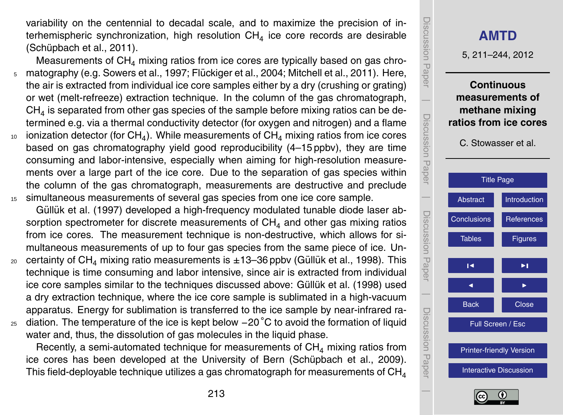<span id="page-2-0"></span>variability on the centennial to decadal scale, and to maximize the precision of interhemispheric synchronization, high resolution  $\textsf{CH}_4$  ice core records are desirable (Schüpbach et al., [2011\)](#page-25-0).

- Measurements of  $CH<sub>4</sub>$  mixing ratios from ice cores are typically based on gas chro- $5 \text{ }$  matography (e.g. [Sowers et al.,](#page-26-0) [1997;](#page-26-0) Flückiger et al., [2004;](#page-24-0) [Mitchell et al.,](#page-25-0) [2011\)](#page-25-0). Here, the air is extracted from individual ice core samples either by a dry (crushing or grating) or wet (melt-refreeze) extraction technique. In the column of the gas chromatograph,  $\textsf{CH}_4$  is separated from other gas species of the sample before mixing ratios can be determined e.g. via a thermal conductivity detector (for oxygen and nitrogen) and a flame  $_{\rm ^{10}}$   $\,$  ionization detector (for CH $_{4}$ ). While measurements of CH $_{4}$  mixing ratios from ice cores based on gas chromatography yield good reproducibility (4–15 ppbv), they are time consuming and labor-intensive, especially when aiming for high-resolution measure-
- ments over a large part of the ice core. Due to the separation of gas species within the column of the gas chromatograph, measurements are destructive and preclude <sup>15</sup> simultaneous measurements of several gas species from one ice core sample.
	- Güllük et al. [\(1997\)](#page-24-0) developed a high-frequency modulated tunable diode laser absorption spectrometer for discrete measurements of  $CH<sub>4</sub>$  and other gas mixing ratios from ice cores. The measurement technique is non-destructive, which allows for simultaneous measurements of up to four gas species from the same piece of ice. Un-
- 20 certainty of CH<sub>4</sub> mixing ratio measurements is  $\pm 13-36$  ppbv (Güllük et al., [1998\)](#page-24-0). This technique is time consuming and labor intensive, since air is extracted from individual ice core samples similar to the techniques discussed above: Güllük et al. [\(1998\)](#page-24-0) used a dry extraction technique, where the ice core sample is sublimated in a high-vacuum apparatus. Energy for sublimation is transferred to the ice sample by near-infrared ra-
- 25 diation. The temperature of the ice is kept below −20 °C to avoid the formation of liquid water and, thus, the dissolution of gas molecules in the liquid phase.

Recently, a semi-automated technique for measurements of  $CH<sub>4</sub>$  mixing ratios from ice cores has been developed at the University of Bern (Schüpbach et al., [2009\)](#page-25-0). This field-deployable technique utilizes a gas chromatograph for measurements of  $CH<sub>4</sub>$ 



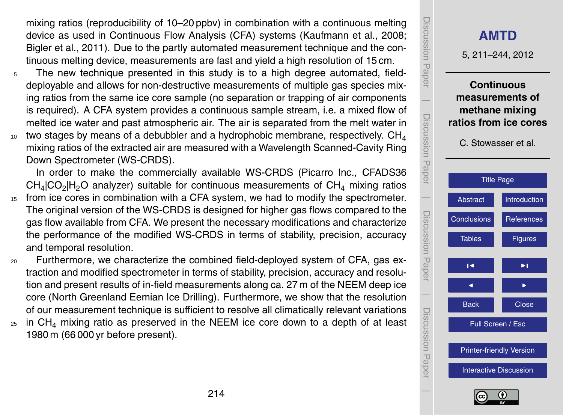<span id="page-3-0"></span>mixing ratios (reproducibility of 10–20 ppbv) in combination with a continuous melting device as used in Continuous Flow Analysis (CFA) systems [\(Kaufmann et al.,](#page-25-0) [2008;](#page-25-0) [Bigler et al.,](#page-23-0) [2011\)](#page-23-0). Due to the partly automated measurement technique and the continuous melting device, measurements are fast and yield a high resolution of 15 cm.

- <sup>5</sup> The new technique presented in this study is to a high degree automated, fielddeployable and allows for non-destructive measurements of multiple gas species mixing ratios from the same ice core sample (no separation or trapping of air components is required). A CFA system provides a continuous sample stream, i.e. a mixed flow of melted ice water and past atmospheric air. The air is separated from the melt water in two stages by means of a debubbler and a hydrophobic membrane, respectively.  $CH<sub>4</sub>$ 10
- mixing ratios of the extracted air are measured with a Wavelength Scanned-Cavity Ring Down Spectrometer (WS-CRDS).

In order to make the commercially available WS-CRDS (Picarro Inc., CFADS36  $CH_4|CO_2|H_2O$  analyzer) suitable for continuous measurements of  $CH_4$  mixing ratios

- <sup>15</sup> from ice cores in combination with a CFA system, we had to modify the spectrometer. The original version of the WS-CRDS is designed for higher gas flows compared to the gas flow available from CFA. We present the necessary modifications and characterize the performance of the modified WS-CRDS in terms of stability, precision, accuracy and temporal resolution.
- <sup>20</sup> Furthermore, we characterize the combined field-deployed system of CFA, gas extraction and modified spectrometer in terms of stability, precision, accuracy and resolution and present results of in-field measurements along ca. 27 m of the NEEM deep ice core (North Greenland Eemian Ice Drilling). Furthermore, we show that the resolution of our measurement technique is sufficient to resolve all climatically relevant variations
- $_{25}$  in CH<sub>4</sub> mixing ratio as preserved in the NEEM ice core down to a depth of at least 1980 m (66 000 yr before present).



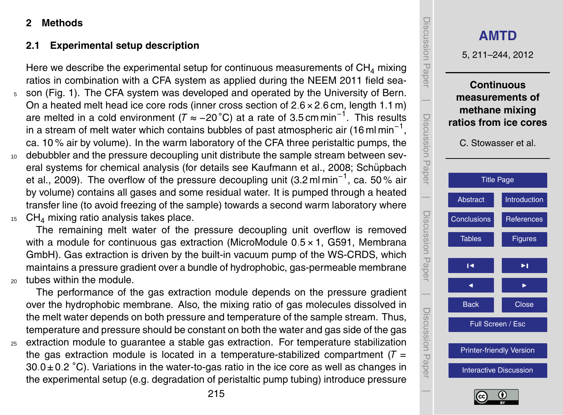# <span id="page-4-0"></span>**2 Methods**

# **2.1 Experimental setup description**

Here we describe the experimental setup for continuous measurements of  $CH<sub>4</sub>$  mixing ratios in combination with a CFA system as applied during the NEEM 2011 field sea-

- <sup>5</sup> son (Fig. [1\)](#page-27-0). The CFA system was developed and operated by the University of Bern. On a heated melt head ice core rods (inner cross section of 2*.*6×2*.*6 cm, length 1.1 m) are melted in a cold environment ( $\mathcal{T} \approx -20\text{ °C}$ ) at a rate of 3.5 cm min<sup>-1</sup>. This results in a stream of melt water which contains bubbles of past atmospheric air (16 ml min $^{\text{-}1},$ ca. 10 % air by volume). In the warm laboratory of the CFA three peristaltic pumps, the
- 10 debubbler and the pressure decoupling unit distribute the sample stream between sev[e](#page-25-0)ral systems for chemical analysis (for details see [Kaufmann et al.,](#page-25-0) [2008;](#page-25-0) Schüpbach [et al.,](#page-25-0) [2009\)](#page-25-0). The overflow of the pressure decoupling unit (3.2 ml min<sup>-1</sup>, ca. 50 % air by volume) contains all gases and some residual water. It is pumped through a heated transfer line (to avoid freezing of the sample) towards a second warm laboratory where
- $15$  CH<sub>4</sub> mixing ratio analysis takes place.

The remaining melt water of the pressure decoupling unit overflow is removed with a module for continuous gas extraction (MicroModule 0*.*5×1, G591, Membrana GmbH). Gas extraction is driven by the built-in vacuum pump of the WS-CRDS, which maintains a pressure gradient over a bundle of hydrophobic, gas-permeable membrane <sup>20</sup> tubes within the module.

The performance of the gas extraction module depends on the pressure gradient over the hydrophobic membrane. Also, the mixing ratio of gas molecules dissolved in the melt water depends on both pressure and temperature of the sample stream. Thus, temperature and pressure should be constant on both the water and gas side of the gas <sup>25</sup> extraction module to guarantee a stable gas extraction. For temperature stabilization

the gas extraction module is located in a temperature-stabilized compartment  $(T =$ 30*.*0±0*.*2 ◦C). Variations in the water-to-gas ratio in the ice core as well as changes in the experimental setup (e.g. degradation of peristaltic pump tubing) introduce pressure



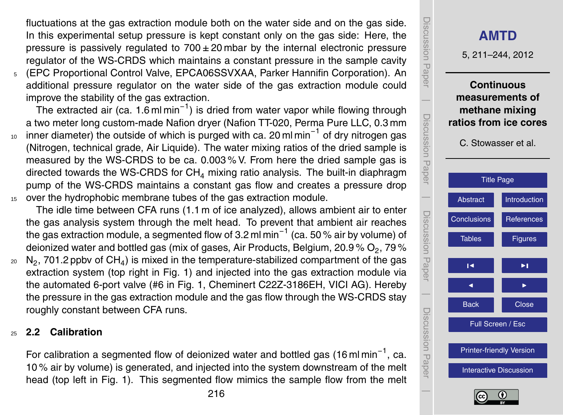<span id="page-5-0"></span>fluctuations at the gas extraction module both on the water side and on the gas side. In this experimental setup pressure is kept constant only on the gas side: Here, the pressure is passively regulated to  $700 \pm 20$  mbar by the internal electronic pressure regulator of the WS-CRDS which maintains a constant pressure in the sample cavity

<sup>5</sup> (EPC Proportional Control Valve, EPCA06SSVXAA, Parker Hannifin Corporation). An additional pressure regulator on the water side of the gas extraction module could improve the stability of the gas extraction.

.<br>The extracted air (ca. 1.6 ml min<sup>-1</sup>) is dried from water vapor while flowing through a two meter long custom-made Nafion dryer (Nafion TT-020, Perma Pure LLC, 0.3 mm

 $_{10}$  inner diameter) the outside of which is purged with ca. 20 ml min $^{-1}$  of dry nitrogen gas (Nitrogen, technical grade, Air Liquide). The water mixing ratios of the dried sample is measured by the WS-CRDS to be ca. 0.003 % V. From here the dried sample gas is directed towards the WS-CRDS for  $CH<sub>4</sub>$  mixing ratio analysis. The built-in diaphragm pump of the WS-CRDS maintains a constant gas flow and creates a pressure drop <sup>15</sup> over the hydrophobic membrane tubes of the gas extraction module.

The idle time between CFA runs (1.1 m of ice analyzed), allows ambient air to enter the gas analysis system through the melt head. To prevent that ambient air reaches the gas extraction module, a segmented flow of 3.2 ml min−<sup>1</sup> (ca. 50 % air by volume) of deionized water and bottled gas (mix of gases, Air Products, Belgium, 20.9 %  $\mathsf{O}_2$ , 79 %  $_{\rm 20}$   $\,$  N $_{\rm 2}$ , 701.2 ppbv of CH $_{\rm 4})$  is mixed in the temperature-stabilized compartment of the gas extraction system (top right in Fig. [1\)](#page-27-0) and injected into the gas extraction module via the automated 6-port valve (#6 in Fig. [1,](#page-27-0) Cheminert C22Z-3186EH, VICI AG). Hereby the pressure in the gas extraction module and the gas flow through the WS-CRDS stay roughly constant between CFA runs.

### <sup>25</sup> **2.2 Calibration**

For calibration a segmented flow of deionized water and bottled gas (16 ml min<sup>-1</sup>, ca. 10 % air by volume) is generated, and injected into the system downstream of the melt head (top left in Fig. [1\)](#page-27-0). This segmented flow mimics the sample flow from the melt



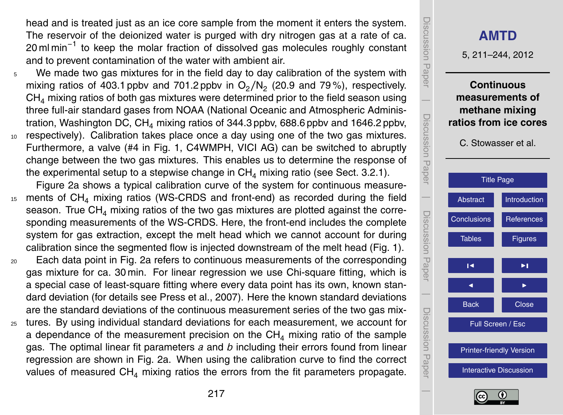<span id="page-6-0"></span>head and is treated just as an ice core sample from the moment it enters the system. The reservoir of the deionized water is purged with dry nitrogen gas at a rate of ca. 20 ml min<sup>-1</sup> to keep the molar fraction of dissolved gas molecules roughly constant and to prevent contamination of the water with ambient air.

- <sup>5</sup> We made two gas mixtures for in the field day to day calibration of the system with mixing ratios of 403.1 ppbv and 701.2 ppbv in  $O_2/N_2$  (20.9 and 79%), respectively.  $CH<sub>4</sub>$  mixing ratios of both gas mixtures were determined prior to the field season using three full-air standard gases from NOAA (National Oceanic and Atmospheric Administration, Washington DC,  $CH<sub>4</sub>$  mixing ratios of 344.3 ppbv, 688.6 ppbv and 1646.2 ppbv, <sup>10</sup> respectively). Calibration takes place once a day using one of the two gas mixtures.
- Furthermore, a valve (#4 in Fig. [1,](#page-27-0) C4WMPH, VICI AG) can be switched to abruptly change between the two gas mixtures. This enables us to determine the response of the experimental setup to a stepwise change in  $CH<sub>4</sub>$  mixing ratio (see Sect. [3.2.1\)](#page-15-0).

Figure [2a](#page-28-0) shows a typical calibration curve of the system for continuous measure-<sup>15</sup> ments of CH<sup>4</sup> mixing ratios (WS-CRDS and front-end) as recorded during the field season. True  $CH<sub>4</sub>$  mixing ratios of the two gas mixtures are plotted against the corresponding measurements of the WS-CRDS. Here, the front-end includes the complete system for gas extraction, except the melt head which we cannot account for during calibration since the segmented flow is injected downstream of the melt head (Fig. [1\)](#page-27-0).

- <sup>20</sup> Each data point in Fig. [2a](#page-28-0) refers to continuous measurements of the corresponding gas mixture for ca. 30 min. For linear regression we use Chi-square fitting, which is a special case of least-square fitting where every data point has its own, known standard deviation (for details see [Press et al.,](#page-25-0) [2007\)](#page-25-0). Here the known standard deviations are the standard deviations of the continuous measurement series of the two gas mix-
- <sup>25</sup> tures. By using individual standard deviations for each measurement, we account for a dependance of the measurement precision on the  $CH<sub>4</sub>$  mixing ratio of the sample gas. The optimal linear fit parameters *a* and *b* including their errors found from linear regression are shown in Fig. [2a](#page-28-0). When using the calibration curve to find the correct values of measured  $CH<sub>4</sub>$  mixing ratios the errors from the fit parameters propagate.



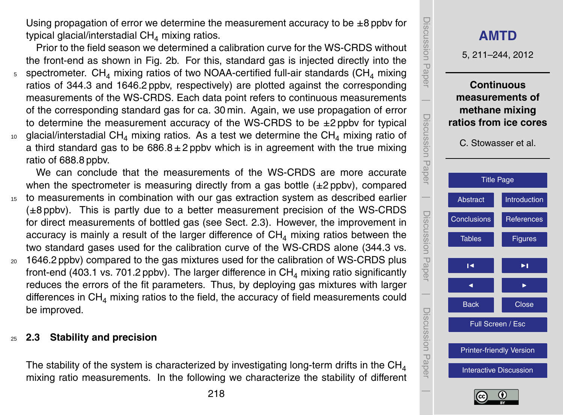Using propagation of error we determine the measurement accuracy to be  $\pm 8$  ppby for typical glacial/interstadial  $CH<sub>4</sub>$  mixing ratios.

Prior to the field season we determined a calibration curve for the WS-CRDS without the front-end as shown in Fig. [2b](#page-28-0). For this, standard gas is injected directly into the  $5$  spectrometer. CH<sub>4</sub> mixing ratios of two NOAA-certified full-air standards (CH<sub>4</sub> mixing ratios of 344.3 and 1646.2 ppbv, respectively) are plotted against the corresponding measurements of the WS-CRDS. Each data point refers to continuous measurements of the corresponding standard gas for ca. 30 min. Again, we use propagation of error to determine the measurement accuracy of the WS-CRDS to be  $\pm 2$  ppby for typical  $10$  glacial/interstadial CH<sub>4</sub> mixing ratios. As a test we determine the CH<sub>4</sub> mixing ratio of a third standard gas to be  $686.8 \pm 2$  ppby which is in agreement with the true mixing ratio of 688.8 ppbv.

We can conclude that the measurements of the WS-CRDS are more accurate when the spectrometer is measuring directly from a gas bottle  $(\pm 2$  ppby), compared <sup>15</sup> to measurements in combination with our gas extraction system as described earlier  $(\pm 8 \text{ pbbv})$ . This is partly due to a better measurement precision of the WS-CRDS for direct measurements of bottled gas (see Sect. 2.3). However, the improvement in accuracy is mainly a result of the larger difference of  $CH<sub>4</sub>$  mixing ratios between the two standard gases used for the calibration curve of the WS-CRDS alone (344.3 vs.

<sup>20</sup> 1646.2 ppbv) compared to the gas mixtures used for the calibration of WS-CRDS plus front-end (403.1 vs. 701.2 ppbv). The larger difference in  $CH<sub>4</sub>$  mixing ratio significantly reduces the errors of the fit parameters. Thus, by deploying gas mixtures with larger differences in  $CH<sub>4</sub>$  mixing ratios to the field, the accuracy of field measurements could be improved.

# <sup>25</sup> **2.3 Stability and precision**

The stability of the system is characterized by investigating long-term drifts in the  $CH<sub>4</sub>$ mixing ratio measurements. In the following we characterize the stability of different



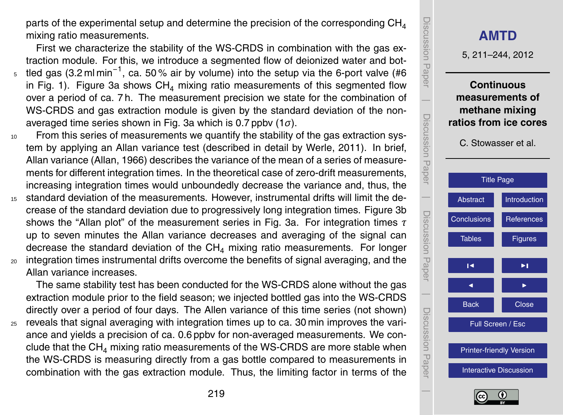<span id="page-8-0"></span>parts of the experimental setup and determine the precision of the corresponding  $CH<sub>4</sub>$ mixing ratio measurements.

First we characterize the stability of the WS-CRDS in combination with the gas extraction module. For this, we introduce a segmented flow of deionized water and bot-<sub>5</sub> tled gas (3.2 ml min<sup>-1</sup>, ca. 50 % air by volume) into the setup via the 6-port valve (#6 in Fig. [1\)](#page-27-0). Figure [3a](#page-29-0) shows  $CH<sub>4</sub>$  mixing ratio measurements of this segmented flow over a period of ca. 7 h. The measurement precision we state for the combination of WS-CRDS and gas extraction module is given by the standard deviation of the nonaveraged time series shown in Fig. [3a](#page-29-0) which is 0.7 ppbv (1*σ*).

<sup>10</sup> From this series of measurements we quantify the stability of the gas extraction system by applying an Allan variance test (described in detail by [Werle,](#page-26-0) [2011\)](#page-26-0). In brief, Allan variance [\(Allan,](#page-23-0) [1966\)](#page-23-0) describes the variance of the mean of a series of measurements for different integration times. In the theoretical case of zero-drift measurements, increasing integration times would unboundedly decrease the variance and, thus, the

- <sup>15</sup> standard deviation of the measurements. However, instrumental drifts will limit the decrease of the standard deviation due to progressively long integration times. Figure [3b](#page-29-0) shows the "Allan plot" of the measurement series in Fig. [3a](#page-29-0). For integration times *τ* up to seven minutes the Allan variance decreases and averaging of the signal can decrease the standard deviation of the  $CH<sub>4</sub>$  mixing ratio measurements. For longer <sup>20</sup> integration times instrumental drifts overcome the benefits of signal averaging, and the
- Allan variance increases.

The same stability test has been conducted for the WS-CRDS alone without the gas extraction module prior to the field season; we injected bottled gas into the WS-CRDS directly over a period of four days. The Allen variance of this time series (not shown) <sup>25</sup> reveals that signal averaging with integration times up to ca. 30 min improves the variance and yields a precision of ca. 0.6 ppbv for non-averaged measurements. We conclude that the  $CH<sub>4</sub>$  mixing ratio measurements of the WS-CRDS are more stable when the WS-CRDS is measuring directly from a gas bottle compared to measurements in combination with the gas extraction module. Thus, the limiting factor in terms of the



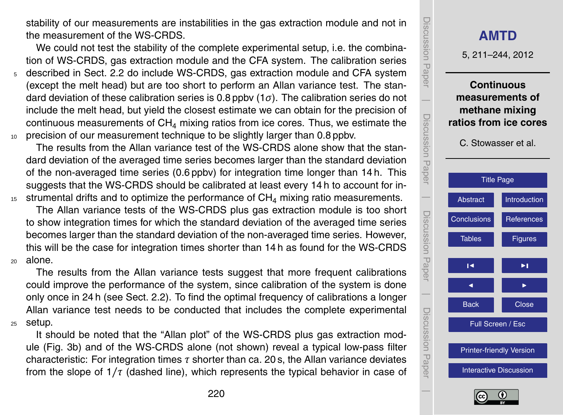stability of our measurements are instabilities in the gas extraction module and not in the measurement of the WS-CRDS.

We could not test the stability of the complete experimental setup, i.e. the combination of WS-CRDS, gas extraction module and the CFA system. The calibration series

<sup>5</sup> described in Sect. [2.2](#page-5-0) do include WS-CRDS, gas extraction module and CFA system (except the melt head) but are too short to perform an Allan variance test. The standard deviation of these calibration series is 0.8 ppbv (1*σ*). The calibration series do not include the melt head, but yield the closest estimate we can obtain for the precision of continuous measurements of  $CH<sub>4</sub>$  mixing ratios from ice cores. Thus, we estimate the <sup>10</sup> precision of our measurement technique to be slightly larger than 0.8 ppbv.

The results from the Allan variance test of the WS-CRDS alone show that the standard deviation of the averaged time series becomes larger than the standard deviation of the non-averaged time series (0.6 ppbv) for integration time longer than 14 h. This suggests that the WS-CRDS should be calibrated at least every 14 h to account for in- $15$  strumental drifts and to optimize the performance of CH<sub>4</sub> mixing ratio measurements.

The Allan variance tests of the WS-CRDS plus gas extraction module is too short to show integration times for which the standard deviation of the averaged time series becomes larger than the standard deviation of the non-averaged time series. However, this will be the case for integration times shorter than 14 h as found for the WS-CRDS <sup>20</sup> alone.

The results from the Allan variance tests suggest that more frequent calibrations could improve the performance of the system, since calibration of the system is done only once in 24 h (see Sect. [2.2\)](#page-5-0). To find the optimal frequency of calibrations a longer Allan variance test needs to be conducted that includes the complete experimental <sup>25</sup> setup.

It should be noted that the "Allan plot" of the WS-CRDS plus gas extraction module (Fig. [3b](#page-29-0)) and of the WS-CRDS alone (not shown) reveal a typical low-pass filter characteristic: For integration times *τ* shorter than ca. 20 s, the Allan variance deviates from the slope of 1*/τ* (dashed line), which represents the typical behavior in case of



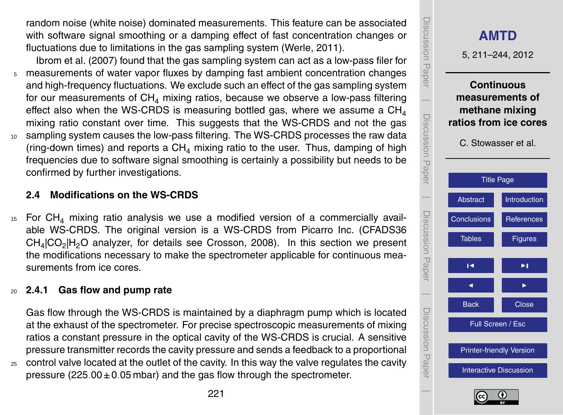<span id="page-10-0"></span>random noise (white noise) dominated measurements. This feature can be associated with software signal smoothing or a damping effect of fast concentration changes or fluctuations due to limitations in the gas sampling system [\(Werle,](#page-26-0) [2011\)](#page-26-0).

- [Ibrom et al.](#page-25-0) [\(2007\)](#page-25-0) found that the gas sampling system can act as a low-pass filer for <sup>5</sup> measurements of water vapor fluxes by damping fast ambient concentration changes and high-frequency fluctuations. We exclude such an effect of the gas sampling system for our measurements of  $CH<sub>4</sub>$  mixing ratios, because we observe a low-pass filtering effect also when the WS-CRDS is measuring bottled gas, where we assume a  $CH<sub>4</sub>$ mixing ratio constant over time. This suggests that the WS-CRDS and not the gas <sup>10</sup> sampling system causes the low-pass filtering. The WS-CRDS processes the raw data (ring-down times) and reports a  $CH<sub>4</sub>$  mixing ratio to the user. Thus, damping of high
- frequencies due to software signal smoothing is certainly a possibility but needs to be confirmed by further investigations.

# **2.4 Modifications on the WS-CRDS**

 $15$  For CH<sub>4</sub> mixing ratio analysis we use a modified version of a commercially available WS-CRDS. The original version is a WS-CRDS from Picarro Inc. (CFADS36  $CH_4|CO_2|H_2O$  analyzer, for details see [Crosson,](#page-24-0) [2008\)](#page-24-0). In this section we present the modifications necessary to make the spectrometer applicable for continuous measurements from ice cores.

# <sup>20</sup> **2.4.1 Gas flow and pump rate**

Gas flow through the WS-CRDS is maintained by a diaphragm pump which is located at the exhaust of the spectrometer. For precise spectroscopic measurements of mixing ratios a constant pressure in the optical cavity of the WS-CRDS is crucial. A sensitive pressure transmitter records the cavity pressure and sends a feedback to a proportional <sup>25</sup> control valve located at the outlet of the cavity. In this way the valve regulates the cavity

pressure (225*.*00±0*.*05 mbar) and the gas flow through the spectrometer.

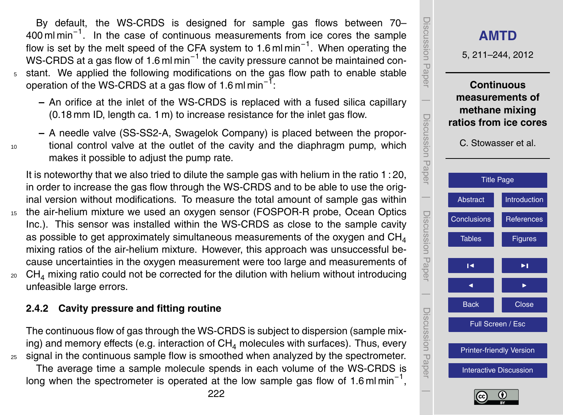By default, the WS-CRDS is designed for sample gas flows between 70– 400 ml min<sup>-1</sup>. In the case of continuous measurements from ice cores the sample flow is set by the melt speed of the CFA system to 1.6 ml min<sup>-1</sup>. When operating the WS-CRDS at a gas flow of 1.6 ml min<sup>-1</sup> the cavity pressure cannot be maintained con-<sup>5</sup> stant. We applied the following modifications on the gas flow path to enable stable operation of the WS-CRDS at a gas flow of 1.6 ml min<sup>-1</sup>:

- **–** An orifice at the inlet of the WS-CRDS is replaced with a fused silica capillary (0.18 mm ID, length ca. 1 m) to increase resistance for the inlet gas flow.
- **–** A needle valve (SS-SS2-A, Swagelok Company) is placed between the propor-<sup>10</sup> tional control valve at the outlet of the cavity and the diaphragm pump, which makes it possible to adjust the pump rate.

It is noteworthy that we also tried to dilute the sample gas with helium in the ratio 1 : 20, in order to increase the gas flow through the WS-CRDS and to be able to use the original version without modifications. To measure the total amount of sample gas within <sup>15</sup> the air-helium mixture we used an oxygen sensor (FOSPOR-R probe, Ocean Optics Inc.). This sensor was installed within the WS-CRDS as close to the sample cavity as possible to get approximately simultaneous measurements of the oxygen and  $CH_4$ mixing ratios of the air-helium mixture. However, this approach was unsuccessful because uncertainties in the oxygen measurement were too large and measurements of

 $20$  CH<sub>4</sub> mixing ratio could not be corrected for the dilution with helium without introducing unfeasible large errors.

# **2.4.2 Cavity pressure and fitting routine**

The continuous flow of gas through the WS-CRDS is subject to dispersion (sample mixing) and memory effects (e.g. interaction of  $CH<sub>4</sub>$  molecules with surfaces). Thus, every <sup>25</sup> signal in the continuous sample flow is smoothed when analyzed by the spectrometer.

The average time a sample molecule spends in each volume of the WS-CRDS is long when the spectrometer is operated at the low sample gas flow of 1.6 ml min<sup>-1</sup>,



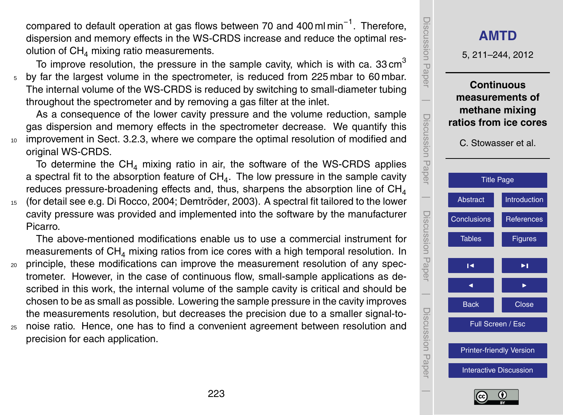<span id="page-12-0"></span>compared to default operation at gas flows between 70 and 400 ml min<sup>-1</sup>. Therefore, dispersion and memory effects in the WS-CRDS increase and reduce the optimal resolution of  $CH<sub>4</sub>$  mixing ratio measurements.

To improve resolution, the pressure in the sample cavity, which is with ca. 33 cm<sup>3</sup> <sup>5</sup> by far the largest volume in the spectrometer, is reduced from 225 mbar to 60 mbar. The internal volume of the WS-CRDS is reduced by switching to small-diameter tubing throughout the spectrometer and by removing a gas filter at the inlet.

As a consequence of the lower cavity pressure and the volume reduction, sample gas dispersion and memory effects in the spectrometer decrease. We quantify this <sup>10</sup> improvement in Sect. [3.2.3,](#page-20-0) where we compare the optimal resolution of modified and original WS-CRDS.

To determine the  $CH<sub>4</sub>$  mixing ratio in air, the software of the WS-CRDS applies a spectral fit to the absorption feature of  $\mathsf{CH}_4$ . The low pressure in the sample cavity reduces pressure-broadening effects and, thus, sharpens the absorption line of  $CH<sub>4</sub>$ 

15 (for detail see e.g. [Di Rocco,](#page-24-0) [2004;](#page-24-0) Demtröder, [2003\)](#page-24-0). A spectral fit tailored to the lower cavity pressure was provided and implemented into the software by the manufacturer Picarro.

The above-mentioned modifications enable us to use a commercial instrument for measurements of  $CH<sub>4</sub>$  mixing ratios from ice cores with a high temporal resolution. In <sup>20</sup> principle, these modifications can improve the measurement resolution of any spectrometer. However, in the case of continuous flow, small-sample applications as described in this work, the internal volume of the sample cavity is critical and should be

chosen to be as small as possible. Lowering the sample pressure in the cavity improves the measurements resolution, but decreases the precision due to a smaller signal-to-<sup>25</sup> noise ratio. Hence, one has to find a convenient agreement between resolution and

precision for each application.



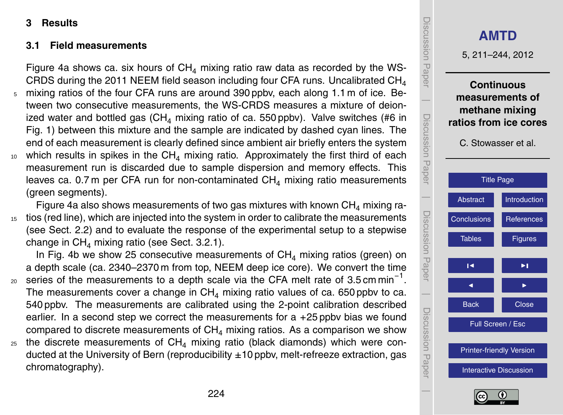# <span id="page-13-0"></span>**3 Results**

## **3.1 Field measurements**

Figure [4a](#page-30-0) shows ca. six hours of  $CH<sub>4</sub>$  mixing ratio raw data as recorded by the WS-CRDS during the 2011 NEEM field season including four CFA runs. Uncalibrated  $CH<sub>4</sub>$ 

mixing ratios of the four CFA runs are around 390 ppbv, each along 1.1 m of ice. Between two consecutive measurements, the WS-CRDS measures a mixture of deionized water and bottled gas  $(CH<sub>4</sub>$  mixing ratio of ca. 550 ppbv). Valve switches (#6 in Fig. [1\)](#page-27-0) between this mixture and the sample are indicated by dashed cyan lines. The end of each measurement is clearly defined since ambient air briefly enters the system  $10$  which results in spikes in the CH<sub>4</sub> mixing ratio. Approximately the first third of each measurement run is discarded due to sample dispersion and memory effects. This leaves ca. 0.7 m per CFA run for non-contaminated  $CH<sub>4</sub>$  mixing ratio measurements

(green segments).

Figure [4a](#page-30-0) also shows measurements of two gas mixtures with known  $CH<sub>4</sub>$  mixing ra-<sup>15</sup> tios (red line), which are injected into the system in order to calibrate the measurements (see Sect. [2.2\)](#page-5-0) and to evaluate the response of the experimental setup to a stepwise change in  $CH<sub>4</sub>$  mixing ratio (see Sect. [3.2.1\)](#page-15-0).

In Fig. [4b](#page-30-0) we show 25 consecutive measurements of  $CH<sub>4</sub>$  mixing ratios (green) on a depth scale (ca. 2340–2370 m from top, NEEM deep ice core). We convert the time

- $_{20}$  series of the measurements to a depth scale via the CFA melt rate of 3.5 cm min<sup>-1</sup>. The measurements cover a change in  $CH_4$  mixing ratio values of ca. 650 ppbv to ca. 540 ppbv. The measurements are calibrated using the 2-point calibration described earlier. In a second step we correct the measurements for a +25 ppbv bias we found compared to discrete measurements of  $CH<sub>4</sub>$  mixing ratios. As a comparison we show
- $25$  the discrete measurements of CH<sub>4</sub> mixing ratio (black diamonds) which were conducted at the University of Bern (reproducibility  $\pm 10$  ppby, melt-refreeze extraction, gas chromatography).



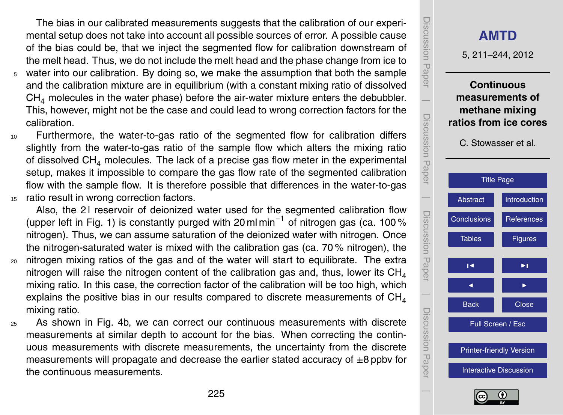The bias in our calibrated measurements suggests that the calibration of our experimental setup does not take into account all possible sources of error. A possible cause of the bias could be, that we inject the segmented flow for calibration downstream of the melt head. Thus, we do not include the melt head and the phase change from ice to

- <sup>5</sup> water into our calibration. By doing so, we make the assumption that both the sample and the calibration mixture are in equilibrium (with a constant mixing ratio of dissolved  $CH<sub>4</sub>$  molecules in the water phase) before the air-water mixture enters the debubbler. This, however, might not be the case and could lead to wrong correction factors for the calibration.
- <sup>10</sup> Furthermore, the water-to-gas ratio of the segmented flow for calibration differs slightly from the water-to-gas ratio of the sample flow which alters the mixing ratio of dissolved  $CH<sub>4</sub>$  molecules. The lack of a precise gas flow meter in the experimental setup, makes it impossible to compare the gas flow rate of the segmented calibration flow with the sample flow. It is therefore possible that differences in the water-to-gas 15 ratio result in wrong correction factors.

Also, the 21 reservoir of deionized water used for the segmented calibration flow (upper left in Fig. [1\)](#page-27-0) is constantly purged with 20 ml min−<sup>1</sup> of nitrogen gas (ca. 100 % nitrogen). Thus, we can assume saturation of the deionized water with nitrogen. Once the nitrogen-saturated water is mixed with the calibration gas (ca. 70 % nitrogen), the

- <sup>20</sup> nitrogen mixing ratios of the gas and of the water will start to equilibrate. The extra nitrogen will raise the nitrogen content of the calibration gas and, thus, lower its  $CH<sub>4</sub>$ mixing ratio. In this case, the correction factor of the calibration will be too high, which explains the positive bias in our results compared to discrete measurements of  $CH<sub>4</sub>$ mixing ratio.
- <sup>25</sup> As shown in Fig. [4b](#page-30-0), we can correct our continuous measurements with discrete measurements at similar depth to account for the bias. When correcting the continuous measurements with discrete measurements, the uncertainty from the discrete measurements will propagate and decrease the earlier stated accuracy of  $\pm 8$  ppby for the continuous measurements.

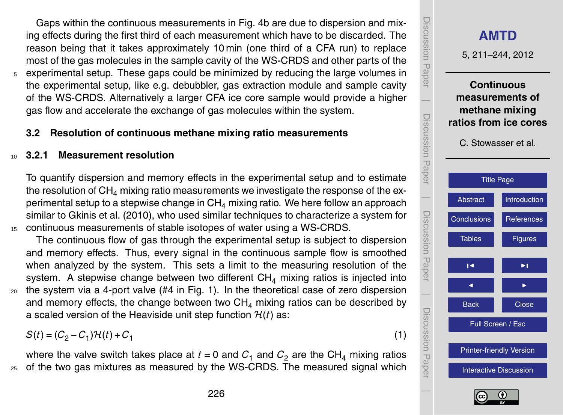<span id="page-15-0"></span>Gaps within the continuous measurements in Fig. [4b](#page-30-0) are due to dispersion and mixing effects during the first third of each measurement which have to be discarded. The reason being that it takes approximately 10 min (one third of a CFA run) to replace most of the gas molecules in the sample cavity of the WS-CRDS and other parts of the <sup>5</sup> experimental setup. These gaps could be minimized by reducing the large volumes in the experimental setup, like e.g. debubbler, gas extraction module and sample cavity of the WS-CRDS. Alternatively a larger CFA ice core sample would provide a higher gas flow and accelerate the exchange of gas molecules within the system.

#### **3.2 Resolution of continuous methane mixing ratio measurements**

### <sup>10</sup> **3.2.1 Measurement resolution**

To quantify dispersion and memory effects in the experimental setup and to estimate the resolution of  $CH<sub>4</sub>$  mixing ratio measurements we investigate the response of the experimental setup to a stepwise change in  $CH<sub>4</sub>$  mixing ratio. We here follow an approach similar to [Gkinis et al.](#page-24-0) [\(2010\)](#page-24-0), who used similar techniques to characterize a system for <sup>15</sup> continuous measurements of stable isotopes of water using a WS-CRDS.

The continuous flow of gas through the experimental setup is subject to dispersion and memory effects. Thus, every signal in the continuous sample flow is smoothed when analyzed by the system. This sets a limit to the measuring resolution of the system. A stepwise change between two different  $CH<sub>4</sub>$  mixing ratios is injected into <sup>20</sup> the system via a 4-port valve (#4 in Fig. [1\)](#page-27-0). In the theoretical case of zero dispersion and memory effects, the change between two  $CH<sub>4</sub>$  mixing ratios can be described by a scaled version of the Heaviside unit step function  $H(t)$  as:

 $S(t) = (C_2 - C_1)\mathcal{H}(t) + C_1$ 

where the valve switch takes place at  $t = 0$  and  $C_1$  and  $C_2$  are the CH<sub>4</sub> mixing ratios <sup>25</sup> of the two gas mixtures as measured by the WS-CRDS. The measured signal which

Discussion PaperDiscussion Paper **[AMTD](http://www.atmos-meas-tech-discuss.net)** 5, 211–244, 2012 **Continuous**  $\overline{\phantom{a}}$ **measurements of methane mixing** Discussion PaperDiscussion Paper **ratios from ice cores** C. Stowasser et al. **[Title Page](#page-0-0)**  $\overline{\phantom{a}}$ [Abstract](#page-1-0) [Introduction](#page-1-0) Discussion PaperDiscussion Paper [Conclusions](#page-21-0) **[References](#page-23-0)** Tables **[Figures](#page-27-0)**  $\overline{\phantom{a}}$  $\overline{\phantom{a}}$  $\overline{\phantom{a}}$  Discussion PaperBack **N** Close Discussion Pape Full Screen / Esc [Printer-friendly Version](http://www.atmos-meas-tech-discuss.net/5/211/2012/amtd-5-211-2012-print.pdf) [Interactive Discussion](http://www.atmos-meas-tech-discuss.net/5/211/2012/amtd-5-211-2012-discussion.html)  $\overline{\phantom{a}}$ 



(1)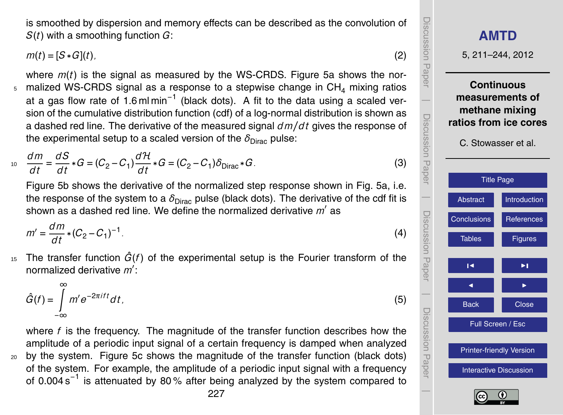is smoothed by dispersion and memory effects can be described as the convolution of *S*(*t*) with a smoothing function *G*:

 $m(t) = [S * G](t)$ , (2)

where *m*(*t*) is the signal as measured by the WS-CRDS. Figure [5a](#page-31-0) shows the nor- $5$  malized WS-CRDS signal as a response to a stepwise change in CH<sub>4</sub> mixing ratios at a gas flow rate of 1.6 ml min<sup>-1</sup> (black dots). A fit to the data using a scaled version of the cumulative distribution function (cdf) of a log-normal distribution is shown as a dashed red line. The derivative of the measured signal *dm/d t* gives the response of the experimental setup to a scaled version of the  $\delta_{\text{Dirac}}$  pulse:

$$
\frac{dm}{dt} = \frac{dS}{dt} * G = (C_2 - C_1) \frac{d\mathcal{H}}{dt} * G = (C_2 - C_1) \delta_{\text{Dirac}} * G. \tag{3}
$$

Figure [5b](#page-31-0) shows the derivative of the normalized step response shown in Fig. [5a](#page-31-0), i.e. the response of the system to a  $\delta_{Dirac}$  pulse (black dots). The derivative of the cdf fit is shown as a dashed red line. We define the normalized derivative  $m'$  as

$$
m' = \frac{dm}{dt} * (C_2 - C_1)^{-1}.
$$
 (4)

 $\frac{1}{15}$  The transfer function  $\hat{G}(f)$  of the experimental setup is the Fourier transform of the normalized derivative m<sup>'</sup>:

$$
\hat{G}(t) = \int_{-\infty}^{\infty} m' e^{-2\pi i t t} dt,
$$
\n(5)

where *f* is the frequency. The magnitude of the transfer function describes how the amplitude of a periodic input signal of a certain frequency is damped when analyzed <sup>20</sup> by the system. Figure [5c](#page-31-0) shows the magnitude of the transfer function (black dots) of the system. For example, the amplitude of a periodic input signal with a frequency of 0.004 s<sup>-1</sup> is attenuated by 80% after being analyzed by the system compared to

 Discussion PaperDiscussion Paper  $\overline{\phantom{a}}$  Discussion PaperDiscussion Paper  $\overline{\phantom{a}}$ 

Discussion Paper

Discussion

 $\overline{\phantom{a}}$ 

**Paper** 

Discussion Paper

Discussion<br>Paper

 $\overline{\phantom{a}}$ 

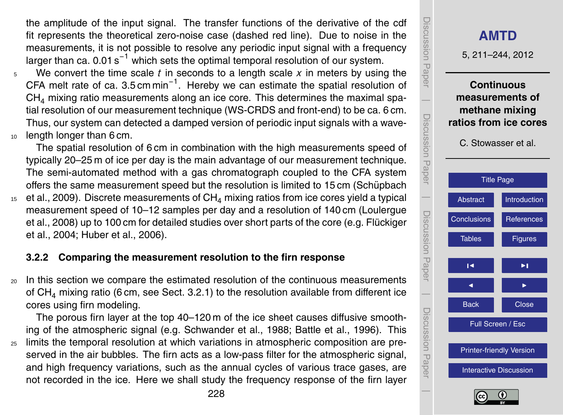<span id="page-17-0"></span>the amplitude of the input signal. The transfer functions of the derivative of the cdf fit represents the theoretical zero-noise case (dashed red line). Due to noise in the measurements, it is not possible to resolve any periodic input signal with a frequency larger than ca.  $0.01 \, \text{s}^{-1}$  which sets the optimal temporal resolution of our system.

<sup>5</sup> We convert the time scale *t* in seconds to a length scale *x* in meters by using the CFA melt rate of ca. 3.5 cm min<sup>-1</sup>. Hereby we can estimate the spatial resolution of  $CH<sub>4</sub>$  mixing ratio measurements along an ice core. This determines the maximal spatial resolution of our measurement technique (WS-CRDS and front-end) to be ca. 6 cm. Thus, our system can detected a damped version of periodic input signals with a wave-<sup>10</sup> length longer than 6 cm.

The spatial resolution of 6 cm in combination with the high measurements speed of typically 20–25 m of ice per day is the main advantage of our measurement technique. The semi-automated method with a gas chromatograph coupled to the CFA system [o](#page-25-0)ffers the same measurement speed but the resolution is limited to 15 cm [\(Schupbach](#page-25-0) ¨  $15$  [et al.,](#page-25-0) [2009\)](#page-25-0). Discrete measurements of CH<sub>4</sub> mixing ratios from ice cores yield a typical [m](#page-25-0)easurement speed of 10–12 samples per day and a resolution of 140 cm [\(Loulergue](#page-25-0) [et al.,](#page-25-0) [2008\)](#page-25-0) up to 100 cm for detailed studies over short parts of the core (e.g. [Fluckiger](#page-24-0) ¨ [et al.,](#page-24-0) [2004;](#page-24-0) [Huber et al.,](#page-25-0) [2006\)](#page-25-0).

# **3.2.2 Comparing the measurement resolution to the firn response**

<sup>20</sup> In this section we compare the estimated resolution of the continuous measurements of CH<sup>4</sup> mixing ratio (6 cm, see Sect. [3.2.1\)](#page-15-0) to the resolution available from different ice cores using firn modeling.

The porous firn layer at the top 40–120 m of the ice sheet causes diffusive smoothing of the atmospheric signal (e.g. [Schwander et al.,](#page-25-0) [1988;](#page-25-0) [Battle et al.,](#page-23-0) [1996\)](#page-23-0). This

<sub>25</sub> limits the temporal resolution at which variations in atmospheric composition are preserved in the air bubbles. The firn acts as a low-pass filter for the atmospheric signal, and high frequency variations, such as the annual cycles of various trace gases, are not recorded in the ice. Here we shall study the frequency response of the firn layer



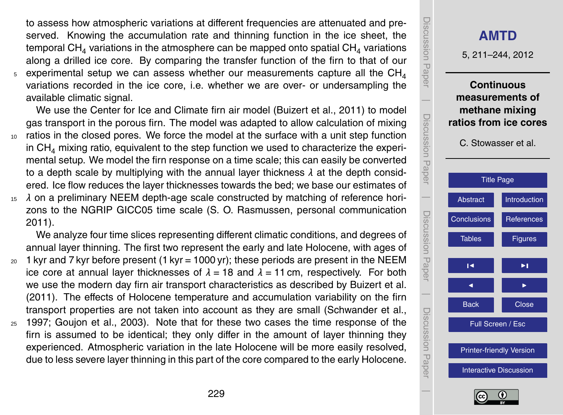<span id="page-18-0"></span>to assess how atmospheric variations at different frequencies are attenuated and preserved. Knowing the accumulation rate and thinning function in the ice sheet, the temporal CH<sub>4</sub> variations in the atmosphere can be mapped onto spatial CH<sub>4</sub> variations along a drilled ice core. By comparing the transfer function of the firn to that of our  $_5$  experimental setup we can assess whether our measurements capture all the  $\mathrm{CH}_4$ variations recorded in the ice core, i.e. whether we are over- or undersampling the available climatic signal.

We use the Center for Ice and Climate firn air model [\(Buizert et al.,](#page-23-0) [2011\)](#page-23-0) to model gas transport in the porous firn. The model was adapted to allow calculation of mixing <sup>10</sup> ratios in the closed pores. We force the model at the surface with a unit step function in  $CH<sub>4</sub>$  mixing ratio, equivalent to the step function we used to characterize the experimental setup. We model the firn response on a time scale; this can easily be converted to a depth scale by multiplying with the annual layer thickness *λ* at the depth considered. Ice flow reduces the layer thicknesses towards the bed; we base our estimates of

<sup>15</sup> *λ* on a preliminary NEEM depth-age scale constructed by matching of reference horizons to the NGRIP GICC05 time scale (S. O. Rasmussen, personal communication 2011).

We analyze four time slices representing different climatic conditions, and degrees of annual layer thinning. The first two represent the early and late Holocene, with ages of

- $20 \text{ J}$  kyr and 7 kyr before present (1 kyr = 1000 yr); these periods are present in the NEEM ice core at annual layer thicknesses of  $\lambda = 18$  and  $\lambda = 11$  cm, respectively. For both we use the modern day firn air transport characteristics as described by [Buizert et al.](#page-23-0) [\(2011\)](#page-23-0). The effects of Holocene temperature and accumulation variability on the firn transport properties are not taken into account as they are small [\(Schwander et al.,](#page-26-0)
- <sup>25</sup> [1997;](#page-26-0) [Goujon et al.,](#page-24-0) [2003\)](#page-24-0). Note that for these two cases the time response of the firn is assumed to be identical; they only differ in the amount of layer thinning they experienced. Atmospheric variation in the late Holocene will be more easily resolved, due to less severe layer thinning in this part of the core compared to the early Holocene.



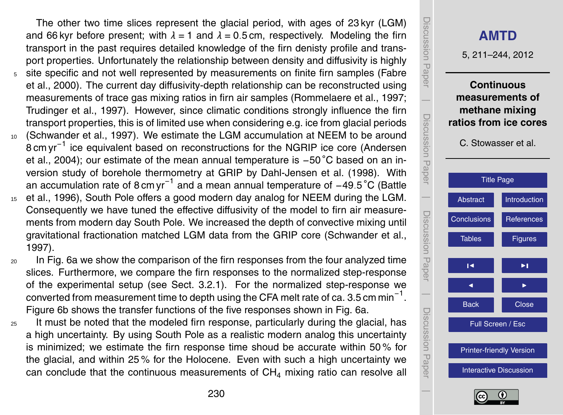<span id="page-19-0"></span>The other two time slices represent the glacial period, with ages of 23 kyr (LGM) and 66 kyr before present; with  $\lambda = 1$  and  $\lambda = 0.5$  cm, respectively. Modeling the firn transport in the past requires detailed knowledge of the firn denisty profile and transport properties. Unfortunately the relationship between density and diffusivity is highly <sup>5</sup> [s](#page-24-0)ite specific and not well represented by measurements on finite firn samples [\(Fabre](#page-24-0) [et al.,](#page-24-0) [2000\)](#page-24-0). The current day diffusivity-depth relationship can be reconstructed using measurements of trace gas mixing ratios in firn air samples [\(Rommelaere et al.,](#page-25-0) [1997;](#page-25-0) [Trudinger et al.,](#page-26-0) [1997\)](#page-26-0). However, since climatic conditions strongly influence the firn transport properties, this is of limited use when considering e.g. ice from glacial periods <sup>10</sup> [\(Schwander et al.,](#page-26-0) [1997\)](#page-26-0). We estimate the LGM accumulation at NEEM to be around

- [8](#page-23-0) cm yr<sup>-1</sup> ice equivalent based on reconstructions for the NGRIP ice core [\(Andersen](#page-23-0) [et al.,](#page-23-0) [2004\)](#page-23-0); our estimate of the mean annual temperature is −50 ◦C based on an inversion study of borehole thermometry at GRIP by [Dahl-Jensen et al.](#page-24-0) [\(1998\)](#page-24-0). With [a](#page-23-0)n accumulation rate of 8 cm yr−<sup>1</sup> and a mean annual temperature of −49*.*5 ◦C [\(Battle](#page-23-0)
- <sup>15</sup> [et al.,](#page-23-0) [1996\)](#page-23-0), South Pole offers a good modern day analog for NEEM during the LGM. Consequently we have tuned the effective diffusivity of the model to firn air measurements from modern day South Pole. We increased the depth of convective mixing until gravitational fractionation matched LGM data from the GRIP core [\(Schwander et al.,](#page-26-0) [1997\)](#page-26-0).
- <sup>20</sup> In Fig. [6a](#page-32-0) we show the comparison of the firn responses from the four analyzed time slices. Furthermore, we compare the firn responses to the normalized step-response of the experimental setup (see Sect. [3.2.1\)](#page-15-0). For the normalized step-response we converted from measurement time to depth using the CFA melt rate of ca. 3.5 cm min $^{\text{-}1}.$ Figure [6b](#page-32-0) shows the transfer functions of the five responses shown in Fig. [6a](#page-32-0).
- $25$  It must be noted that the modeled firn response, particularly during the glacial, has a high uncertainty. By using South Pole as a realistic modern analog this uncertainty is minimized; we estimate the firn response time shoud be accurate within 50 % for the glacial, and within 25 % for the Holocene. Even with such a high uncertainty we can conclude that the continuous measurements of  $CH<sub>4</sub>$  mixing ratio can resolve all



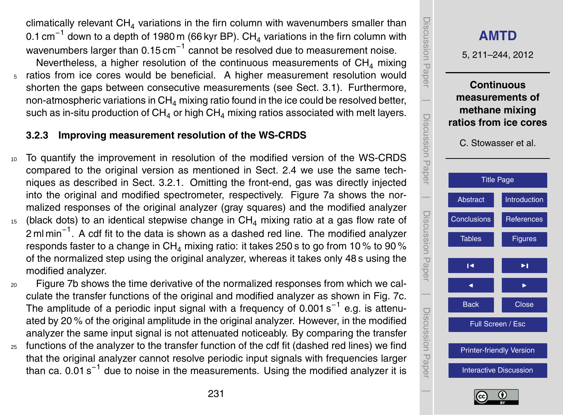<span id="page-20-0"></span>climatically relevant  $CH<sub>4</sub>$  variations in the firn column with wavenumbers smaller than 0.1 cm $^{-1}$  down to a depth of 1980 m (66 kyr BP). CH<sub>4</sub> variations in the firn column with wavenumbers larger than 0.15 cm $^{-1}$  cannot be resolved due to measurement noise. Nevertheless, a higher resolution of the continuous measurements of  $CH<sub>4</sub>$  mixing <sup>5</sup> ratios from ice cores would be beneficial. A higher measurement resolution would shorten the gaps between consecutive measurements (see Sect. [3.1\)](#page-13-0). Furthermore, non-atmospheric variations in  $CH<sub>4</sub>$  mixing ratio found in the ice could be resolved better, such as in-situ production of  $CH_4$  or high  $CH_4$  mixing ratios associated with melt layers.

# **3.2.3 Improving measurement resolution of the WS-CRDS**

- <sup>10</sup> To quantify the improvement in resolution of the modified version of the WS-CRDS compared to the original version as mentioned in Sect. [2.4](#page-10-0) we use the same techniques as described in Sect. [3.2.1.](#page-15-0) Omitting the front-end, gas was directly injected into the original and modified spectrometer, respectively. Figure [7a](#page-33-0) shows the normalized responses of the original analyzer (gray squares) and the modified analyzer
- $15$  (black dots) to an identical stepwise change in CH<sub>4</sub> mixing ratio at a gas flow rate of 2 ml min<sup>-1</sup>. A cdf fit to the data is shown as a dashed red line. The modified analyzer responds faster to a change in  $CH<sub>4</sub>$  mixing ratio: it takes 250 s to go from 10 % to 90 % of the normalized step using the original analyzer, whereas it takes only 48 s using the modified analyzer.
- <sup>20</sup> Figure [7b](#page-33-0) shows the time derivative of the normalized responses from which we calculate the transfer functions of the original and modified analyzer as shown in Fig. [7c](#page-33-0). The amplitude of a periodic input signal with a frequency of 0.001 s<sup>-1</sup> e.g. is attenuated by 20 % of the original amplitude in the original analyzer. However, in the modified analyzer the same input signal is not attenuated noticeably. By comparing the transfer
- <sup>25</sup> functions of the analyzer to the transfer function of the cdf fit (dashed red lines) we find that the original analyzer cannot resolve periodic input signals with frequencies larger than ca. 0.01 s<sup>-1</sup> due to noise in the measurements. Using the modified analyzer it is



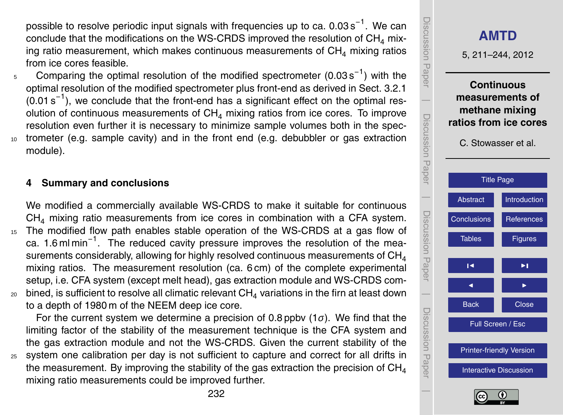<span id="page-21-0"></span>possible to resolve periodic input signals with frequencies up to ca. 0.03 s<sup>-1</sup>. We can conclude that the modifications on the WS-CRDS improved the resolution of  $CH<sub>4</sub>$  mixing ratio measurement, which makes continuous measurements of  $CH<sub>4</sub>$  mixing ratios from ice cores feasible.

5 Comparing the optimal resolution of the modified spectrometer (0.03 s<sup>-1</sup>) with the optimal resolution of the modified spectrometer plus front-end as derived in Sect. [3.2.1](#page-15-0)  $(0.01 s<sup>-1</sup>)$ , we conclude that the front-end has a significant effect on the optimal resolution of continuous measurements of  $CH<sub>4</sub>$  mixing ratios from ice cores. To improve resolution even further it is necessary to minimize sample volumes both in the spec-<sup>10</sup> trometer (e.g. sample cavity) and in the front end (e.g. debubbler or gas extraction module).

## **4 Summary and conclusions**

We modified a commercially available WS-CRDS to make it suitable for continuous  $CH<sub>4</sub>$  mixing ratio measurements from ice cores in combination with a CFA system. <sup>15</sup> The modified flow path enables stable operation of the WS-CRDS at a gas flow of ca. 1.6 ml min<sup>-1</sup>. The reduced cavity pressure improves the resolution of the measurements considerably, allowing for highly resolved continuous measurements of  $CH<sub>4</sub>$ mixing ratios. The measurement resolution (ca. 6 cm) of the complete experimental setup, i.e. CFA system (except melt head), gas extraction module and WS-CRDS com- $20$  bined, is sufficient to resolve all climatic relevant CH<sub>4</sub> variations in the firn at least down to a depth of 1980 m of the NEEM deep ice core.

For the current system we determine a precision of 0.8 ppbv (1*σ*). We find that the limiting factor of the stability of the measurement technique is the CFA system and the gas extraction module and not the WS-CRDS. Given the current stability of the <sup>25</sup> system one calibration per day is not sufficient to capture and correct for all drifts in the measurement. By improving the stability of the gas extraction the precision of  $CH<sub>4</sub>$ mixing ratio measurements could be improved further.



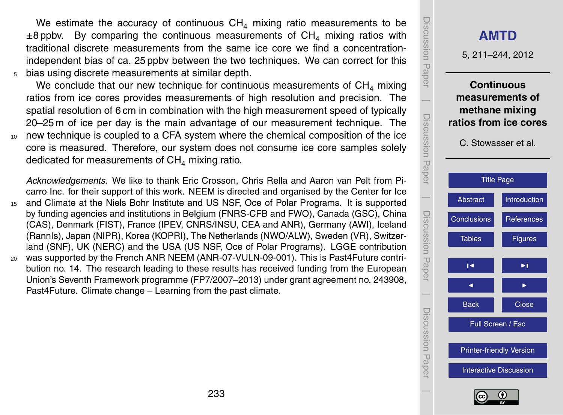We estimate the accuracy of continuous  $CH<sub>4</sub>$  mixing ratio measurements to be  $\pm$ 8 ppbv. By comparing the continuous measurements of CH<sub>4</sub> mixing ratios with traditional discrete measurements from the same ice core we find a concentrationindependent bias of ca. 25 ppbv between the two techniques. We can correct for this <sup>5</sup> bias using discrete measurements at similar depth.

We conclude that our new technique for continuous measurements of  $CH<sub>4</sub>$  mixing ratios from ice cores provides measurements of high resolution and precision. The spatial resolution of 6 cm in combination with the high measurement speed of typically 20–25 m of ice per day is the main advantage of our measurement technique. The <sup>10</sup> new technique is coupled to a CFA system where the chemical composition of the ice core is measured. Therefore, our system does not consume ice core samples solely dedicated for measurements of  $CH<sub>4</sub>$  mixing ratio.

*Acknowledgements.* We like to thank Eric Crosson, Chris Rella and Aaron van Pelt from Picarro Inc. for their support of this work. NEEM is directed and organised by the Center for Ice and Climate at the Niels Bohr Institute and US NSF, Oce of Polar Programs. It is supported by funding agencies and institutions in Belgium (FNRS-CFB and FWO), Canada (GSC), China (CAS), Denmark (FIST), France (IPEV, CNRS/INSU, CEA and ANR), Germany (AWI), Iceland (RannIs), Japan (NIPR), Korea (KOPRI), The Netherlands (NWO/ALW), Sweden (VR), Switzerland (SNF), UK (NERC) and the USA (US NSF, Oce of Polar Programs). LGGE contribution <sup>20</sup> was supported by the French ANR NEEM (ANR-07-VULN-09-001). This is Past4Future contribution no. 14. The research leading to these results has received funding from the European Union's Seventh Framework programme (FP7/2007–2013) under grant agreement no. 243908, Past4Future. Climate change – Learning from the past climate.



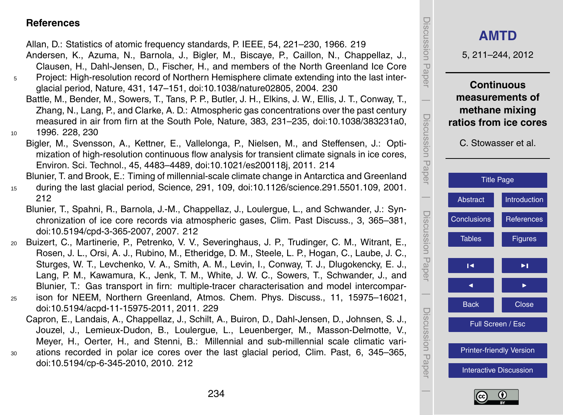#### <span id="page-23-0"></span>**References**

Allan, D.: Statistics of atomic frequency standards, P. IEEE, 54, 221–230, 1966. [219](#page-8-0)

- Andersen, K., Azuma, N., Barnola, J., Bigler, M., Biscaye, P., Caillon, N., Chappellaz, J., Clausen, H., Dahl-Jensen, D., Fischer, H., and members of the North Greenland Ice Core
- <sup>5</sup> Project: High-resolution record of Northern Hemisphere climate extending into the last interglacial period, Nature, 431, 147–151, [doi:10.1038/nature02805,](http://dx.doi.org/10.1038/nature02805) 2004. [230](#page-19-0)
- Battle, M., Bender, M., Sowers, T., Tans, P. P., Butler, J. H., Elkins, J. W., Ellis, J. T., Conway, T., Zhang, N., Lang, P., and Clarke, A. D.: Atmospheric gas concentrations over the past century measured in air from firn at the South Pole, Nature, 383, 231–235, [doi:10.1038/383231a0,](http://dx.doi.org/10.1038/383231a0) 10 1996, [228,](#page-17-0) [230](#page-19-0)
	- Bigler, M., Svensson, A., Kettner, E., Vallelonga, P., Nielsen, M., and Steffensen, J.: Optimization of high-resolution continuous flow analysis for transient climate signals in ice cores, Environ. Sci. Technol., 45, 4483–4489, [doi:10.1021/es200118j,](http://dx.doi.org/10.1021/es200118j) 2011. [214](#page-3-0)

Blunier, T. and Brook, E.: Timing of millennial-scale climate change in Antarctica and Greenland <sup>15</sup> during the last glacial period, Science, 291, 109, [doi:10.1126/science.291.5501.109,](http://dx.doi.org/10.1126/science.291.5501.109) 2001. [212](#page-1-0)

- Blunier, T., Spahni, R., Barnola, J.-M., Chappellaz, J., Loulergue, L., and Schwander, J.: Synchronization of ice core records via atmospheric gases, Clim. Past Discuss., 3, 365–381, [doi:10.5194/cpd-3-365-2007,](http://dx.doi.org/10.5194/cpd-3-365-2007) 2007. [212](#page-1-0)
- <sup>20</sup> Buizert, C., Martinerie, P., Petrenko, V. V., Severinghaus, J. P., Trudinger, C. M., Witrant, E., Rosen, J. L., Orsi, A. J., Rubino, M., Etheridge, D. M., Steele, L. P., Hogan, C., Laube, J. C., Sturges, W. T., Levchenko, V. A., Smith, A. M., Levin, I., Conway, T. J., Dlugokencky, E. J., Lang, P. M., Kawamura, K., Jenk, T. M., White, J. W. C., Sowers, T., Schwander, J., and Blunier, T.: Gas transport in firn: multiple-tracer characterisation and model intercompar-
- <sup>25</sup> ison for NEEM, Northern Greenland, Atmos. Chem. Phys. Discuss., 11, 15975–16021, [doi:10.5194/acpd-11-15975-2011,](http://dx.doi.org/10.5194/acpd-11-15975-2011) 2011. [229](#page-18-0)
- Capron, E., Landais, A., Chappellaz, J., Schilt, A., Buiron, D., Dahl-Jensen, D., Johnsen, S. J., Jouzel, J., Lemieux-Dudon, B., Loulergue, L., Leuenberger, M., Masson-Delmotte, V., Meyer, H., Oerter, H., and Stenni, B.: Millennial and sub-millennial scale climatic vari-<sup>30</sup> ations recorded in polar ice cores over the last glacial period, Clim. Past, 6, 345–365, [doi:10.5194/cp-6-345-2010,](http://dx.doi.org/10.5194/cp-6-345-2010) 2010. [212](#page-1-0)



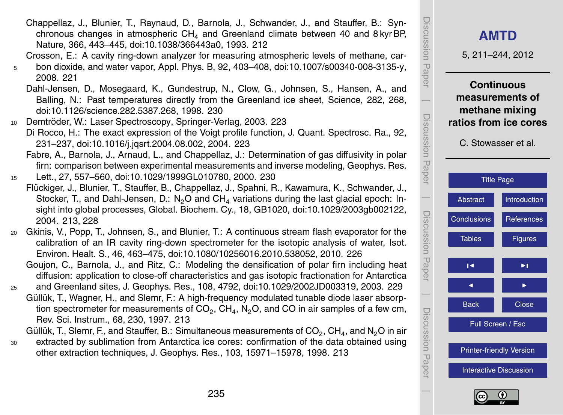

**[AMTD](http://www.atmos-meas-tech-discuss.net)**

5, 211–244, 2012

Discussion Paper

Discussion Paper

 $\overline{\phantom{a}}$ 

Discussion Paper

 $\overline{\phantom{a}}$ 

Discussion Paper

 $\overline{\phantom{a}}$ 

Discussion Paper

 $\overline{\phantom{a}}$ 

**Continuous**

<span id="page-24-0"></span>Chappellaz, J., Blunier, T., Raynaud, D., Barnola, J., Schwander, J., and Stauffer, B.: Synchronous changes in atmospheric  $CH<sub>4</sub>$  and Greenland climate between 40 and 8 kyr BP, Nature, 366, 443–445, [doi:10.1038/366443a0,](http://dx.doi.org/10.1038/366443a0) 1993. [212](#page-1-0)

Crosson, E.: A cavity ring-down analyzer for measuring atmospheric levels of methane, car-

- <sup>5</sup> bon dioxide, and water vapor, Appl. Phys. B, 92, 403–408, [doi:10.1007/s00340-008-3135-y,](http://dx.doi.org/10.1007/s00340-008-3135-y) 2008. [221](#page-10-0)
	- Dahl-Jensen, D., Mosegaard, K., Gundestrup, N., Clow, G., Johnsen, S., Hansen, A., and Balling, N.: Past temperatures directly from the Greenland ice sheet, Science, 282, 268, [doi:10.1126/science.282.5387.268,](http://dx.doi.org/10.1126/science.282.5387.268) 1998. [230](#page-19-0)
- 10 Demtröder, W.: Laser Spectroscopy, Springer-Verlag, 2003. [223](#page-12-0)
	- Di Rocco, H.: The exact expression of the Voigt profile function, J. Quant. Spectrosc. Ra., 92, 231–237, [doi:10.1016/j.jqsrt.2004.08.002,](http://dx.doi.org/10.1016/j.jqsrt.2004.08.002) 2004. [223](#page-12-0)
		- Fabre, A., Barnola, J., Arnaud, L., and Chappellaz, J.: Determination of gas diffusivity in polar firn: comparison between experimental measurements and inverse modeling, Geophys. Res.
- <sup>15</sup> Lett., 27, 557–560, [doi:10.1029/1999GL010780,](http://dx.doi.org/10.1029/1999GL010780) 2000. [230](#page-19-0)
- Flückiger, J., Blunier, T., Stauffer, B., Chappellaz, J., Spahni, R., Kawamura, K., Schwander, J., Stocker, T., and Dahl-Jensen, D.:  $N_2O$  and  $CH<sub>4</sub>$  variations during the last glacial epoch: Insight into global processes, Global. Biochem. Cy., 18, GB1020, [doi:10.1029/2003gb002122,](http://dx.doi.org/10.1029/2003gb002122) 2004. [213,](#page-2-0) [228](#page-17-0)
- <sup>20</sup> Gkinis, V., Popp, T., Johnsen, S., and Blunier, T.: A continuous stream flash evaporator for the calibration of an IR cavity ring-down spectrometer for the isotopic analysis of water, Isot. Environ. Healt. S., 46, 463–475, [doi:10.1080/10256016.2010.538052,](http://dx.doi.org/10.1080/10256016.2010.538052) 2010. [226](#page-15-0)
	- Goujon, C., Barnola, J., and Ritz, C.: Modeling the densification of polar firn including heat diffusion: application to close-off characteristics and gas isotopic fractionation for Antarctica
- <sup>25</sup> and Greenland sites, J. Geophys. Res., 108, 4792, [doi:10.1029/2002JD003319,](http://dx.doi.org/10.1029/2002JD003319) 2003. [229](#page-18-0) Güllük, T., Wagner, H., and Slemr, F.: A high-frequency modulated tunable diode laser absorption spectrometer for measurements of CO<sub>2</sub>, CH<sub>4</sub>, N<sub>2</sub>O, and CO in air samples of a few cm, Rev. Sci. Instrum., 68, 230, 1997. [213](#page-2-0)

Güllük, T., Slemr, F., and Stauffer, B.: Simultaneous measurements of CO $_2$ , CH $_4$ , and N $_2$ O in air

<sup>30</sup> extracted by sublimation from Antarctica ice cores: confirmation of the data obtained using other extraction techniques, J. Geophys. Res., 103, 15971–15978, 1998. [213](#page-2-0)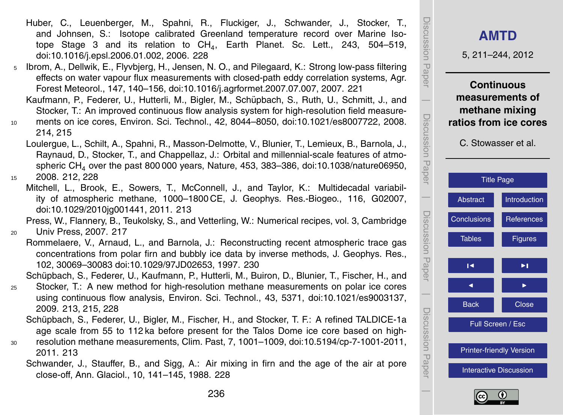- <span id="page-25-0"></span>Huber, C., Leuenberger, M., Spahni, R., Fluckiger, J., Schwander, J., Stocker, T., and Johnsen, S.: Isotope calibrated Greenland temperature record over Marine Isotope Stage 3 and its relation to  $CH_4$ , Earth Planet. Sc. Lett., 243, 504–519, [doi:10.1016/j.epsl.2006.01.002,](http://dx.doi.org/10.1016/j.epsl.2006.01.002) 2006. [228](#page-17-0)
- <sup>5</sup> Ibrom, A., Dellwik, E., Flyvbjerg, H., Jensen, N. O., and Pilegaard, K.: Strong low-pass filtering effects on water vapour flux measurements with closed-path eddy correlation systems, Agr. Forest Meteorol., 147, 140–156, [doi:10.1016/j.agrformet.2007.07.007,](http://dx.doi.org/10.1016/j.agrformet.2007.07.007) 2007. [221](#page-10-0)
	- Kaufmann, P., Federer, U., Hutterli, M., Bigler, M., Schupbach, S., Ruth, U., Schmitt, J., and ¨ Stocker, T.: An improved continuous flow analysis system for high-resolution field measure-
- <sup>10</sup> ments on ice cores, Environ. Sci. Technol., 42, 8044–8050, [doi:10.1021/es8007722,](http://dx.doi.org/10.1021/es8007722) 2008. [214,](#page-3-0) [215](#page-4-0)
- Loulergue, L., Schilt, A., Spahni, R., Masson-Delmotte, V., Blunier, T., Lemieux, B., Barnola, J., Raynaud, D., Stocker, T., and Chappellaz, J.: Orbital and millennial-scale features of atmospheric CH<sub>4</sub> over the past 800 000 years, Nature, 453, 383–386, [doi:10.1038/nature06950,](http://dx.doi.org/10.1038/nature06950) <sup>15</sup> 2008. [212,](#page-1-0) [228](#page-17-0)
- - Mitchell, L., Brook, E., Sowers, T., McConnell, J., and Taylor, K.: Multidecadal variability of atmospheric methane, 1000–1800 CE, J. Geophys. Res.-Biogeo., 116, G02007, [doi:10.1029/2010jg001441,](http://dx.doi.org/10.1029/2010jg001441) 2011. [213](#page-2-0)

Press, W., Flannery, B., Teukolsky, S., and Vetterling, W.: Numerical recipes, vol. 3, Cambridge <sup>20</sup> Univ Press, 2007. [217](#page-6-0)

Rommelaere, V., Arnaud, L., and Barnola, J.: Reconstructing recent atmospheric trace gas concentrations from polar firn and bubbly ice data by inverse methods, J. Geophys. Res., 102, 30069–30083 [doi:10.1029/97JD02653,](http://dx.doi.org/10.1029/97JD02653) 1997. [230](#page-19-0)

Schupbach, S., Federer, U., Kaufmann, P., Hutterli, M., Buiron, D., Blunier, T., Fischer, H., and ¨

- <sup>25</sup> Stocker, T.: A new method for high-resolution methane measurements on polar ice cores using continuous flow analysis, Environ. Sci. Technol., 43, 5371, [doi:10.1021/es9003137,](http://dx.doi.org/10.1021/es9003137) 2009. [213,](#page-2-0) [215,](#page-4-0) [228](#page-17-0)
	- Schüpbach, S., Federer, U., Bigler, M., Fischer, H., and Stocker, T. F.: A refined TALDICE-1a age scale from 55 to 112 ka before present for the Talos Dome ice core based on high-
- <sup>30</sup> resolution methane measurements, Clim. Past, 7, 1001–1009, [doi:10.5194/cp-7-1001-2011,](http://dx.doi.org/10.5194/cp-7-1001-2011) 2011. [213](#page-2-0)
	- Schwander, J., Stauffer, B., and Sigg, A.: Air mixing in firn and the age of the air at pore close-off, Ann. Glaciol., 10, 141–145, 1988. [228](#page-17-0)



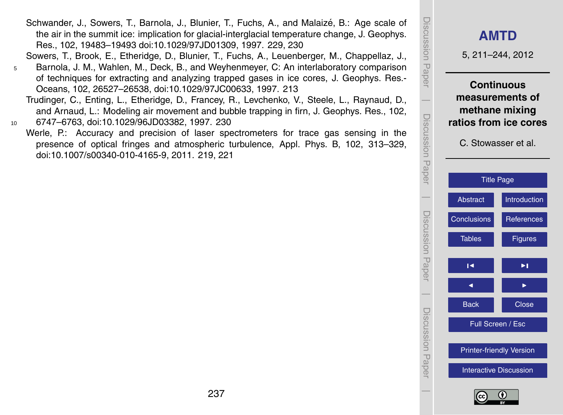**[AMTD](http://www.atmos-meas-tech-discuss.net)** 5, 211–244, 2012 **Continuous measurements of methane mixing ratios from ice cores** C. Stowasser et al. [Title Page](#page-0-0) [Abstract](#page-1-0) [Introduction](#page-1-0) [Conclusions](#page-21-0) [References](#page-23-0) Tables **[Figures](#page-27-0)**  $\overline{\phantom{a}}$  $\overline{\phantom{a}}$ Back **N** Close Full Screen / Esc [Printer-friendly Version](http://www.atmos-meas-tech-discuss.net/5/211/2012/amtd-5-211-2012-print.pdf) [Interactive Discussion](http://www.atmos-meas-tech-discuss.net/5/211/2012/amtd-5-211-2012-discussion.html)

Discussion Paper

Discussion Paper

 $\overline{\phantom{a}}$ 

Discussion Paper

Discussion Paper

 $\overline{\phantom{a}}$ 

Discussion Paper

 $\overline{\phantom{a}}$ 

Discussion Paper

Discussion Paper

 $\overline{\phantom{a}}$ 

<span id="page-26-0"></span>Schwander, J., Sowers, T., Barnola, J., Blunier, T., Fuchs, A., and Malaize, B.: Age scale of ´ the air in the summit ice: implication for glacial-interglacial temperature change, J. Geophys. Res., 102, 19483–19493 [doi:10.1029/97JD01309,](http://dx.doi.org/10.1029/97JD01309) 1997. [229,](#page-18-0) [230](#page-19-0)

Sowers, T., Brook, E., Etheridge, D., Blunier, T., Fuchs, A., Leuenberger, M., Chappellaz, J.,

- <sup>5</sup> Barnola, J. M., Wahlen, M., Deck, B., and Weyhenmeyer, C: An interlaboratory comparison of techniques for extracting and analyzing trapped gases in ice cores, J. Geophys. Res.- Oceans, 102, 26527–26538, [doi:10.1029/97JC00633,](http://dx.doi.org/10.1029/97JC00633) 1997. [213](#page-2-0)
- Trudinger, C., Enting, L., Etheridge, D., Francey, R., Levchenko, V., Steele, L., Raynaud, D., and Arnaud, L.: Modeling air movement and bubble trapping in firn, J. Geophys. Res., 102, <sup>10</sup> 6747–6763, [doi:10.1029/96JD03382,](http://dx.doi.org/10.1029/96JD03382) 1997. [230](#page-19-0)
	- Werle, P.: Accuracy and precision of laser spectrometers for trace gas sensing in the presence of optical fringes and atmospheric turbulence, Appl. Phys. B, 102, 313–329, [doi:10.1007/s00340-010-4165-9,](http://dx.doi.org/10.1007/s00340-010-4165-9) 2011. [219,](#page-8-0) [221](#page-10-0)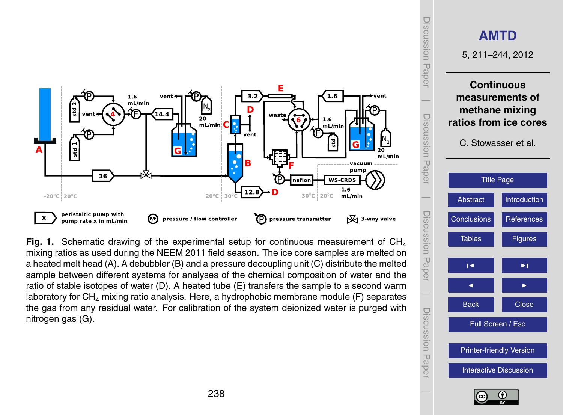<span id="page-27-0"></span>

**Fig. 1.** Schematic drawing of the experimental setup for continuous measurement of  $CH<sub>4</sub>$ mixing ratios as used during the NEEM 2011 field season. The ice core samples are melted on a heated melt head (A). A debubbler (B) and a pressure decoupling unit (C) distribute the melted sample between different systems for analyses of the chemical composition of water and the ratio of stable isotopes of water (D). A heated tube (E) transfers the sample to a second warm laboratory for  $CH<sub>4</sub>$  mixing ratio analysis. Here, a hydrophobic membrane module (F) separates the gas from any residual water. For calibration of the system deionized water is purged with nitrogen gas (G).



Discussion Paper

Discussion Paper

 $\overline{\phantom{a}}$ 

Discussion Paper

Discussion Paper

 $\overline{\phantom{a}}$ 

Discussion Paper

Discussion Paper

 $\overline{\phantom{a}}$ 

Discussion Paper

Discussion Paper

 $\overline{\phantom{a}}$ 

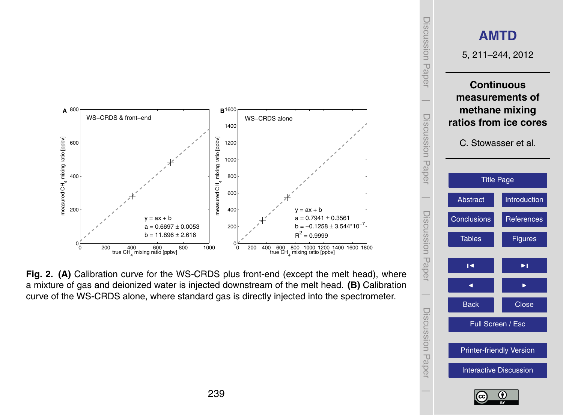<span id="page-28-0"></span>

**Fig. 2. (A)** Calibration curve for the WS-CRDS plus front-end (except the melt head), where a mixture of gas and deionized water is injected downstream of the melt head. **(B)** Calibration curve of the WS-CRDS alone, where standard gas is directly injected into the spectrometer.



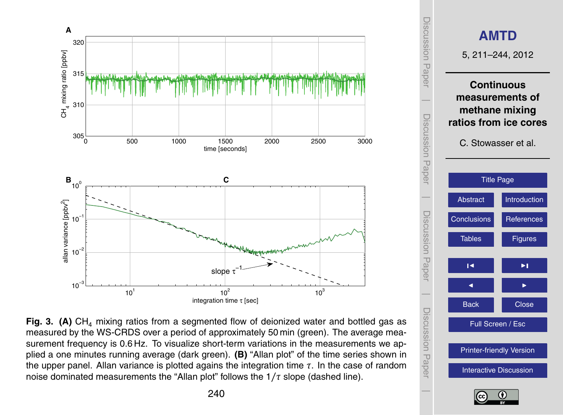<span id="page-29-0"></span>





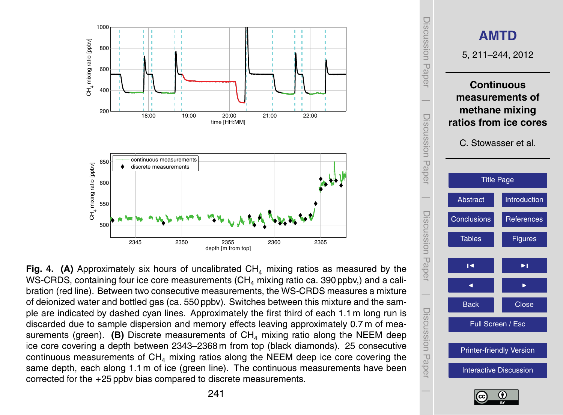<span id="page-30-0"></span>

Fig. 4. (A) Approximately six hours of uncalibrated  $CH<sub>4</sub>$  mixing ratios as measured by the WS-CRDS, containing four ice core measurements  $(CH<sub>4</sub>$  mixing ratio ca. 390 ppbv,) and a calibration (red line). Between two consecutive measurements, the WS-CRDS measures a mixture of deionized water and bottled gas (ca. 550 ppbv). Switches between this mixture and the sample are indicated by dashed cyan lines. Approximately the first third of each 1.1 m long run is discarded due to sample dispersion and memory effects leaving approximately 0.7 m of measurements (green). **(B)** Discrete measurements of  $CH<sub>4</sub>$  mixing ratio along the NEEM deep ice core covering a depth between 2343–2368 m from top (black diamonds). 25 consecutive continuous measurements of  $CH<sub>4</sub>$  mixing ratios along the NEEM deep ice core covering the same depth, each along 1.1 m of ice (green line). The continuous measurements have been corrected for the +25 ppbv bias compared to discrete measurements.

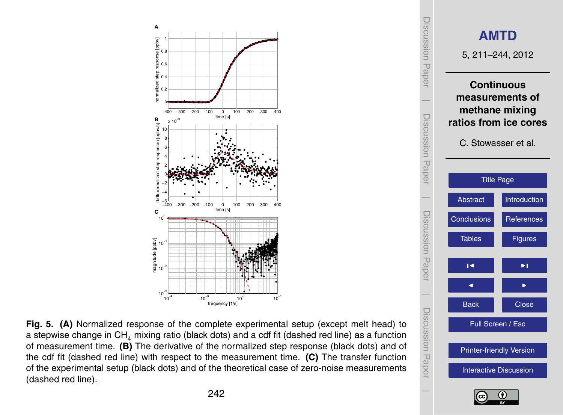<span id="page-31-0"></span>



**Fig. 5. (A)** Normalized response of the complete experimental setup (except melt head) to a stepwise change in  $CH<sub>4</sub>$  mixing ratio (black dots) and a cdf fit (dashed red line) as a function of measurement time. **(B)** The derivative of the normalized step response (black dots) and of the cdf fit (dashed red line) with respect to the measurement time. **(C)** The transfer function of the experimental setup (black dots) and of the theoretical case of zero-noise measurements (dashed red line).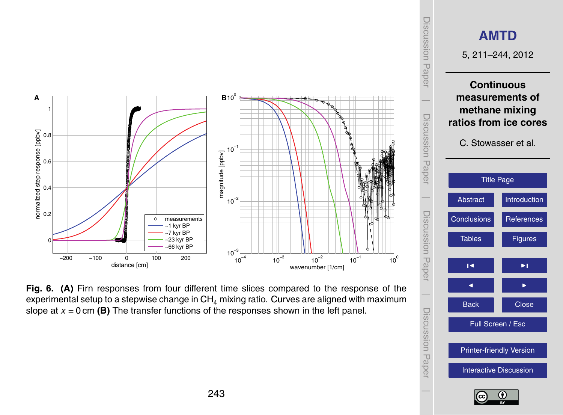<span id="page-32-0"></span>

**Fig. 6. (A)** Firn responses from four different time slices compared to the response of the experimental setup to a stepwise change in  $CH_4$  mixing ratio. Curves are aligned with maximum slope at *x* = 0 cm **(B)** The transfer functions of the responses shown in the left panel.